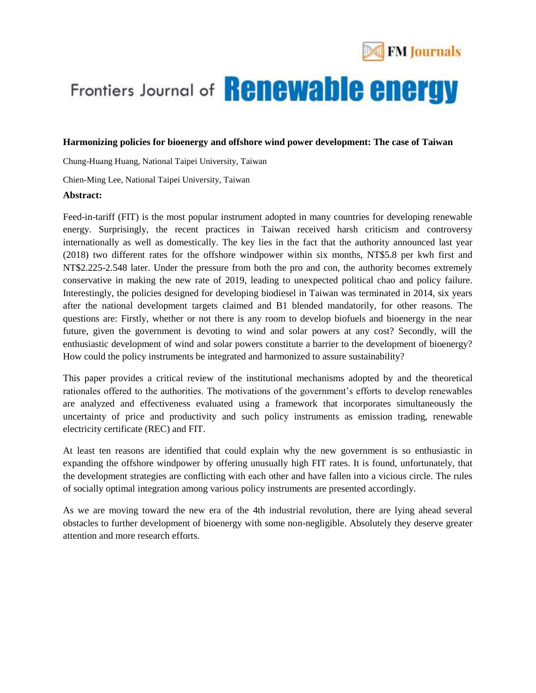

# Frontiers Journal of **Renewable energy**

### **Harmonizing policies for bioenergy and offshore wind power development: The case of Taiwan**

Chung-Huang Huang, National Taipei University, Taiwan

Chien-Ming Lee, National Taipei University, Taiwan

#### **Abstract:**

Feed-in-tariff (FIT) is the most popular instrument adopted in many countries for developing renewable energy. Surprisingly, the recent practices in Taiwan received harsh criticism and controversy internationally as well as domestically. The key lies in the fact that the authority announced last year (2018) two different rates for the offshore windpower within six months, NT\$5.8 per kwh first and NT\$2.225-2.548 later. Under the pressure from both the pro and con, the authority becomes extremely conservative in making the new rate of 2019, leading to unexpected political chao and policy failure. Interestingly, the policies designed for developing biodiesel in Taiwan was terminated in 2014, six years after the national development targets claimed and B1 blended mandatorily, for other reasons. The questions are: Firstly, whether or not there is any room to develop biofuels and bioenergy in the near future, given the government is devoting to wind and solar powers at any cost? Secondly, will the enthusiastic development of wind and solar powers constitute a barrier to the development of bioenergy? How could the policy instruments be integrated and harmonized to assure sustainability?

This paper provides a critical review of the institutional mechanisms adopted by and the theoretical rationales offered to the authorities. The motivations of the government's efforts to develop renewables are analyzed and effectiveness evaluated using a framework that incorporates simultaneously the uncertainty of price and productivity and such policy instruments as emission trading, renewable electricity certificate (REC) and FIT.

At least ten reasons are identified that could explain why the new government is so enthusiastic in expanding the offshore windpower by offering unusually high FIT rates. It is found, unfortunately, that the development strategies are conflicting with each other and have fallen into a vicious circle. The rules of socially optimal integration among various policy instruments are presented accordingly.

As we are moving toward the new era of the 4th industrial revolution, there are lying ahead several obstacles to further development of bioenergy with some non-negligible. Absolutely they deserve greater attention and more research efforts.